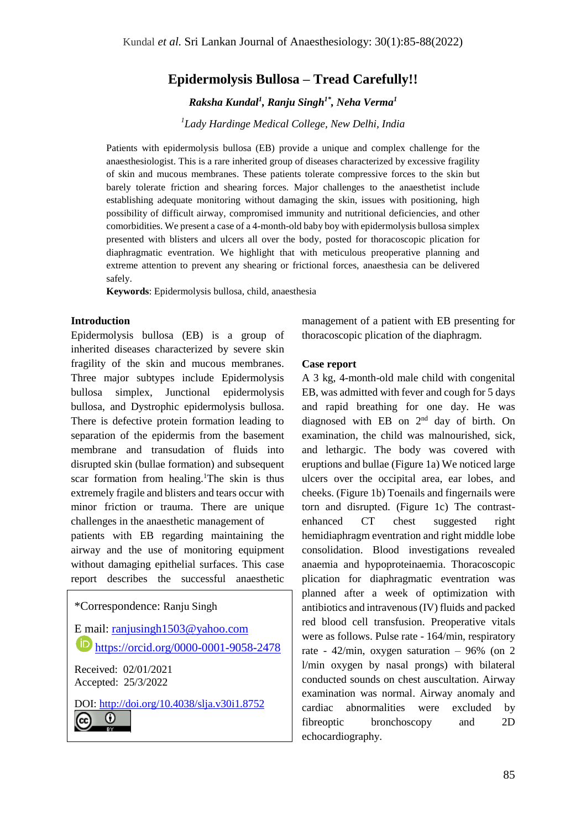# **Epidermolysis Bullosa – Tread Carefully!!**

*Raksha Kundal<sup>1</sup> , Ranju Singh1\* , Neha Verma<sup>1</sup>*

*<sup>1</sup>Lady Hardinge Medical College, New Delhi, India*

Patients with epidermolysis bullosa (EB) provide a unique and complex challenge for the anaesthesiologist. This is a rare inherited group of diseases characterized by excessive fragility of skin and mucous membranes. These patients tolerate compressive forces to the skin but barely tolerate friction and shearing forces. Major challenges to the anaesthetist include establishing adequate monitoring without damaging the skin, issues with positioning, high possibility of difficult airway, compromised immunity and nutritional deficiencies, and other comorbidities. We present a case of a 4-month-old baby boy with epidermolysis bullosa simplex presented with blisters and ulcers all over the body, posted for thoracoscopic plication for diaphragmatic eventration. We highlight that with meticulous preoperative planning and extreme attention to prevent any shearing or frictional forces, anaesthesia can be delivered safely.

**Keywords**: Epidermolysis bullosa, child, anaesthesia

#### **Introduction**

Epidermolysis bullosa (EB) is a group of inherited diseases characterized by severe skin fragility of the skin and mucous membranes. Three major subtypes include Epidermolysis bullosa simplex, Junctional epidermolysis bullosa, and Dystrophic epidermolysis bullosa. There is defective protein formation leading to separation of the epidermis from the basement membrane and transudation of fluids into disrupted skin (bullae formation) and subsequent scar formation from healing.<sup>1</sup>The skin is thus extremely fragile and blisters and tears occur with minor friction or trauma. There are unique challenges in the anaesthetic management of patients with EB regarding maintaining the airway and the use of monitoring equipment without damaging epithelial surfaces. This case report describes the successful anaesthetic

\*Correspondence: Ranju Singh E mail: [ranjusingh1503@yahoo.com](mailto:ranjusingh1503@yahoo.com)  $\overline{\textbf{(i)}}$ <https://orcid.org/0000-0001-9058-2478> Received: 02/01/2021 Accepted: 25/3/2022 DOI:<http://doi.org/10.4038/slja.v30i1.8752> $\Omega$  $(c<sub>c</sub>)$ 

management of a patient with EB presenting for thoracoscopic plication of the diaphragm.

#### **Case report**

A 3 kg, 4-month-old male child with congenital EB, was admitted with fever and cough for 5 days and rapid breathing for one day. He was diagnosed with EB on 2nd day of birth. On examination, the child was malnourished, sick, and lethargic. The body was covered with eruptions and bullae (Figure 1a) We noticed large ulcers over the occipital area, ear lobes, and cheeks. (Figure 1b) Toenails and fingernails were torn and disrupted. (Figure 1c) The contrastenhanced CT chest suggested right hemidiaphragm eventration and right middle lobe consolidation. Blood investigations revealed anaemia and hypoproteinaemia. Thoracoscopic plication for diaphragmatic eventration was planned after a week of optimization with antibiotics and intravenous (IV) fluids and packed red blood cell transfusion. Preoperative vitals were as follows. Pulse rate - 164/min, respiratory rate - 42/min, oxygen saturation – 96% (on 2 l/min oxygen by nasal prongs) with bilateral conducted sounds on chest auscultation. Airway examination was normal. Airway anomaly and cardiac abnormalities were excluded by fibreoptic bronchoscopy and 2D echocardiography.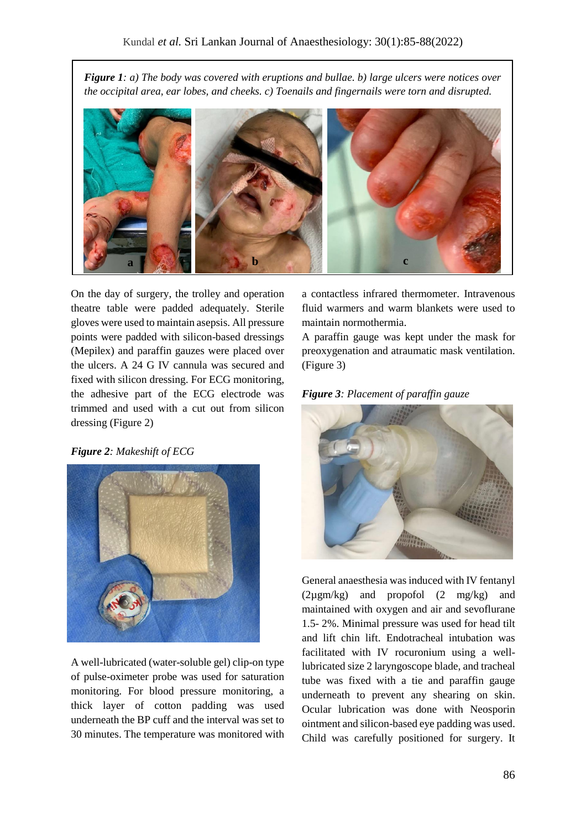*Figure 1: a) The body was covered with eruptions and bullae. b) large ulcers were notices over the occipital area, ear lobes, and cheeks. c) Toenails and fingernails were torn and disrupted.* 



On the day of surgery, the trolley and operation theatre table were padded adequately. Sterile gloves were used to maintain asepsis. All pressure points were padded with silicon-based dressings (Mepilex) and paraffin gauzes were placed over the ulcers. A 24 G IV cannula was secured and fixed with silicon dressing. For ECG monitoring, the adhesive part of the ECG electrode was trimmed and used with a cut out from silicon dressing (Figure 2)

*Figure 2: Makeshift of ECG*



A well-lubricated (water-soluble gel) clip-on type of pulse-oximeter probe was used for saturation monitoring. For blood pressure monitoring, a thick layer of cotton padding was used underneath the BP cuff and the interval was set to 30 minutes. The temperature was monitored with

a contactless infrared thermometer. Intravenous fluid warmers and warm blankets were used to maintain normothermia.

A paraffin gauge was kept under the mask for preoxygenation and atraumatic mask ventilation. (Figure 3)





General anaesthesia was induced with IV fentanyl (2µgm/kg) and propofol (2 mg/kg) and maintained with oxygen and air and sevoflurane 1.5- 2%. Minimal pressure was used for head tilt and lift chin lift. Endotracheal intubation was facilitated with IV rocuronium using a welllubricated size 2 laryngoscope blade, and tracheal tube was fixed with a tie and paraffin gauge underneath to prevent any shearing on skin. Ocular lubrication was done with Neosporin ointment and silicon-based eye padding was used. Child was carefully positioned for surgery. It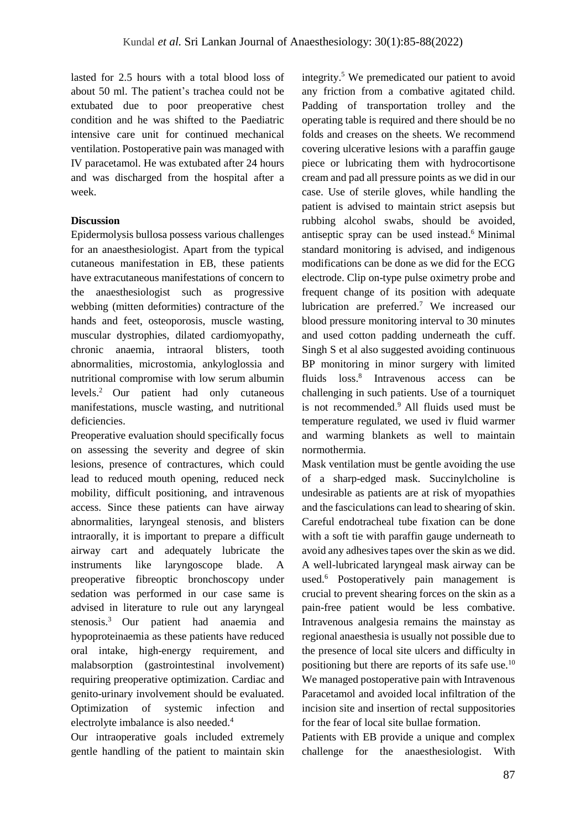lasted for 2.5 hours with a total blood loss of about 50 ml. The patient's trachea could not be extubated due to poor preoperative chest condition and he was shifted to the Paediatric intensive care unit for continued mechanical ventilation. Postoperative pain was managed with IV paracetamol. He was extubated after 24 hours and was discharged from the hospital after a week.

## **Discussion**

Epidermolysis bullosa possess various challenges for an anaesthesiologist. Apart from the typical cutaneous manifestation in EB, these patients have extracutaneous manifestations of concern to the anaesthesiologist such as progressive webbing (mitten deformities) contracture of the hands and feet, osteoporosis, muscle wasting, muscular dystrophies, dilated cardiomyopathy, chronic anaemia, intraoral blisters, tooth abnormalities, microstomia, ankyloglossia and nutritional compromise with low serum albumin levels. <sup>2</sup> Our patient had only cutaneous manifestations, muscle wasting, and nutritional deficiencies.

Preoperative evaluation should specifically focus on assessing the severity and degree of skin lesions, presence of contractures, which could lead to reduced mouth opening, reduced neck mobility, difficult positioning, and intravenous access. Since these patients can have airway abnormalities, laryngeal stenosis, and blisters intraorally, it is important to prepare a difficult airway cart and adequately lubricate the instruments like laryngoscope blade. A preoperative fibreoptic bronchoscopy under sedation was performed in our case same is advised in literature to rule out any laryngeal stenosis.<sup>3</sup> Our patient had anaemia and hypoproteinaemia as these patients have reduced oral intake, high-energy requirement, and malabsorption (gastrointestinal involvement) requiring preoperative optimization. Cardiac and genito-urinary involvement should be evaluated. Optimization of systemic infection and electrolyte imbalance is also needed.<sup>4</sup>

Our intraoperative goals included extremely gentle handling of the patient to maintain skin

integrity. <sup>5</sup> We premedicated our patient to avoid any friction from a combative agitated child. Padding of transportation trolley and the operating table is required and there should be no folds and creases on the sheets. We recommend covering ulcerative lesions with a paraffin gauge piece or lubricating them with hydrocortisone cream and pad all pressure points as we did in our case. Use of sterile gloves, while handling the patient is advised to maintain strict asepsis but rubbing alcohol swabs, should be avoided, antiseptic spray can be used instead. <sup>6</sup> Minimal standard monitoring is advised, and indigenous modifications can be done as we did for the ECG electrode. Clip on-type pulse oximetry probe and frequent change of its position with adequate lubrication are preferred.<sup>7</sup> We increased our blood pressure monitoring interval to 30 minutes and used cotton padding underneath the cuff. Singh S et al also suggested avoiding continuous BP monitoring in minor surgery with limited fluids loss. 8 Intravenous access can be challenging in such patients. Use of a tourniquet is not recommended. <sup>9</sup> All fluids used must be temperature regulated, we used iv fluid warmer and warming blankets as well to maintain normothermia.

Mask ventilation must be gentle avoiding the use of a sharp-edged mask. Succinylcholine is undesirable as patients are at risk of myopathies and the fasciculations can lead to shearing of skin. Careful endotracheal tube fixation can be done with a soft tie with paraffin gauge underneath to avoid any adhesives tapes over the skin as we did. A well-lubricated laryngeal mask airway can be used.<sup>6</sup> Postoperatively pain management is crucial to prevent shearing forces on the skin as a pain-free patient would be less combative. Intravenous analgesia remains the mainstay as regional anaesthesia is usually not possible due to the presence of local site ulcers and difficulty in positioning but there are reports of its safe use.<sup>10</sup> We managed postoperative pain with Intravenous Paracetamol and avoided local infiltration of the incision site and insertion of rectal suppositories for the fear of local site bullae formation.

Patients with EB provide a unique and complex challenge for the anaesthesiologist. With